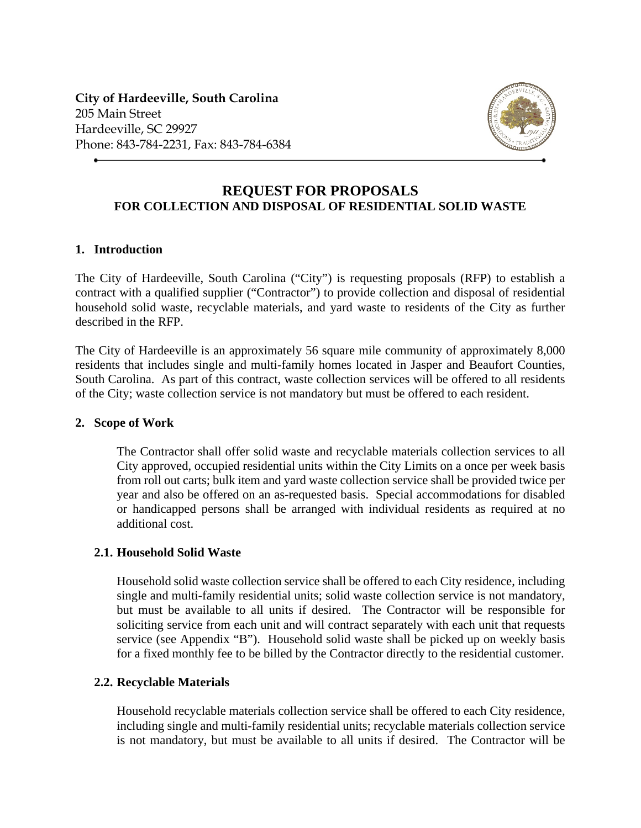**City of Hardeeville, South Carolina** 205 Main Street Hardeeville, SC 29927 Phone: 843-784-2231, Fax: 843-784-6384



## **REQUEST FOR PROPOSALS FOR COLLECTION AND DISPOSAL OF RESIDENTIAL SOLID WASTE**

## **1. Introduction**

The City of Hardeeville, South Carolina ("City") is requesting proposals (RFP) to establish a contract with a qualified supplier ("Contractor") to provide collection and disposal of residential household solid waste, recyclable materials, and yard waste to residents of the City as further described in the RFP.

The City of Hardeeville is an approximately 56 square mile community of approximately 8,000 residents that includes single and multi-family homes located in Jasper and Beaufort Counties, South Carolina. As part of this contract, waste collection services will be offered to all residents of the City; waste collection service is not mandatory but must be offered to each resident.

## **2. Scope of Work**

The Contractor shall offer solid waste and recyclable materials collection services to all City approved, occupied residential units within the City Limits on a once per week basis from roll out carts; bulk item and yard waste collection service shall be provided twice per year and also be offered on an as-requested basis. Special accommodations for disabled or handicapped persons shall be arranged with individual residents as required at no additional cost.

## **2.1. Household Solid Waste**

Household solid waste collection service shall be offered to each City residence, including single and multi-family residential units; solid waste collection service is not mandatory, but must be available to all units if desired. The Contractor will be responsible for soliciting service from each unit and will contract separately with each unit that requests service (see Appendix "B"). Household solid waste shall be picked up on weekly basis for a fixed monthly fee to be billed by the Contractor directly to the residential customer.

## **2.2. Recyclable Materials**

Household recyclable materials collection service shall be offered to each City residence, including single and multi-family residential units; recyclable materials collection service is not mandatory, but must be available to all units if desired. The Contractor will be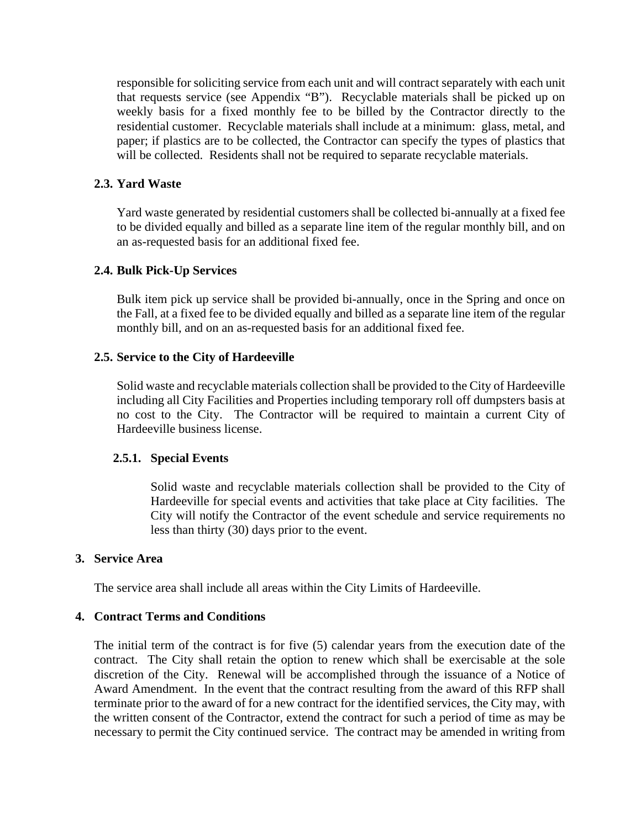responsible for soliciting service from each unit and will contract separately with each unit that requests service (see Appendix "B"). Recyclable materials shall be picked up on weekly basis for a fixed monthly fee to be billed by the Contractor directly to the residential customer. Recyclable materials shall include at a minimum: glass, metal, and paper; if plastics are to be collected, the Contractor can specify the types of plastics that will be collected. Residents shall not be required to separate recyclable materials.

## **2.3. Yard Waste**

Yard waste generated by residential customers shall be collected bi-annually at a fixed fee to be divided equally and billed as a separate line item of the regular monthly bill, and on an as-requested basis for an additional fixed fee.

#### **2.4. Bulk Pick-Up Services**

Bulk item pick up service shall be provided bi-annually, once in the Spring and once on the Fall, at a fixed fee to be divided equally and billed as a separate line item of the regular monthly bill, and on an as-requested basis for an additional fixed fee.

#### **2.5. Service to the City of Hardeeville**

Solid waste and recyclable materials collection shall be provided to the City of Hardeeville including all City Facilities and Properties including temporary roll off dumpsters basis at no cost to the City. The Contractor will be required to maintain a current City of Hardeeville business license.

#### **2.5.1. Special Events**

Solid waste and recyclable materials collection shall be provided to the City of Hardeeville for special events and activities that take place at City facilities. The City will notify the Contractor of the event schedule and service requirements no less than thirty (30) days prior to the event.

#### **3. Service Area**

The service area shall include all areas within the City Limits of Hardeeville.

#### **4. Contract Terms and Conditions**

The initial term of the contract is for five (5) calendar years from the execution date of the contract. The City shall retain the option to renew which shall be exercisable at the sole discretion of the City. Renewal will be accomplished through the issuance of a Notice of Award Amendment. In the event that the contract resulting from the award of this RFP shall terminate prior to the award of for a new contract for the identified services, the City may, with the written consent of the Contractor, extend the contract for such a period of time as may be necessary to permit the City continued service. The contract may be amended in writing from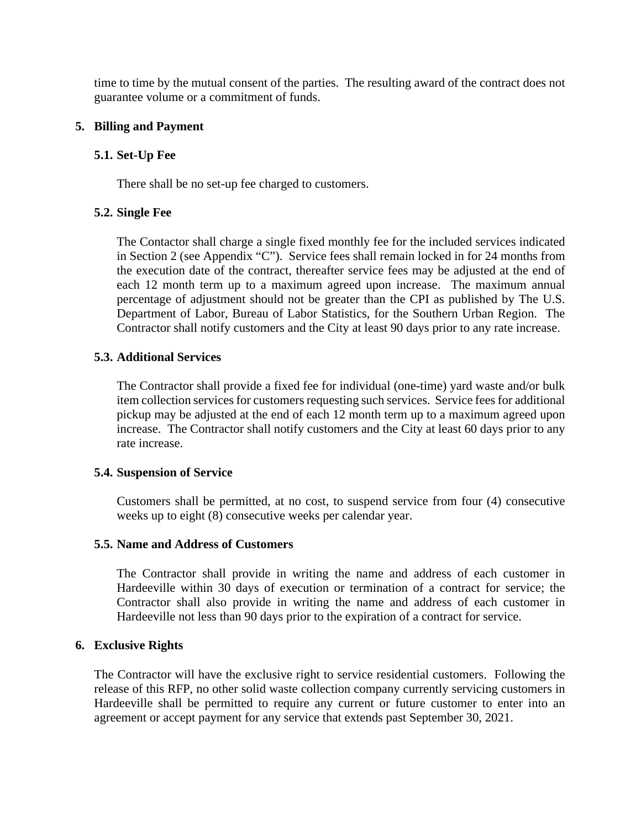time to time by the mutual consent of the parties. The resulting award of the contract does not guarantee volume or a commitment of funds.

## **5. Billing and Payment**

## **5.1. Set-Up Fee**

There shall be no set-up fee charged to customers.

## **5.2. Single Fee**

The Contactor shall charge a single fixed monthly fee for the included services indicated in Section 2 (see Appendix "C"). Service fees shall remain locked in for 24 months from the execution date of the contract, thereafter service fees may be adjusted at the end of each 12 month term up to a maximum agreed upon increase. The maximum annual percentage of adjustment should not be greater than the CPI as published by The U.S. Department of Labor, Bureau of Labor Statistics, for the Southern Urban Region. The Contractor shall notify customers and the City at least 90 days prior to any rate increase.

## **5.3. Additional Services**

The Contractor shall provide a fixed fee for individual (one-time) yard waste and/or bulk item collection services for customers requesting such services.Service fees for additional pickup may be adjusted at the end of each 12 month term up to a maximum agreed upon increase. The Contractor shall notify customers and the City at least 60 days prior to any rate increase.

## **5.4. Suspension of Service**

Customers shall be permitted, at no cost, to suspend service from four (4) consecutive weeks up to eight (8) consecutive weeks per calendar year.

## **5.5. Name and Address of Customers**

The Contractor shall provide in writing the name and address of each customer in Hardeeville within 30 days of execution or termination of a contract for service; the Contractor shall also provide in writing the name and address of each customer in Hardeeville not less than 90 days prior to the expiration of a contract for service.

## **6. Exclusive Rights**

The Contractor will have the exclusive right to service residential customers. Following the release of this RFP, no other solid waste collection company currently servicing customers in Hardeeville shall be permitted to require any current or future customer to enter into an agreement or accept payment for any service that extends past September 30, 2021.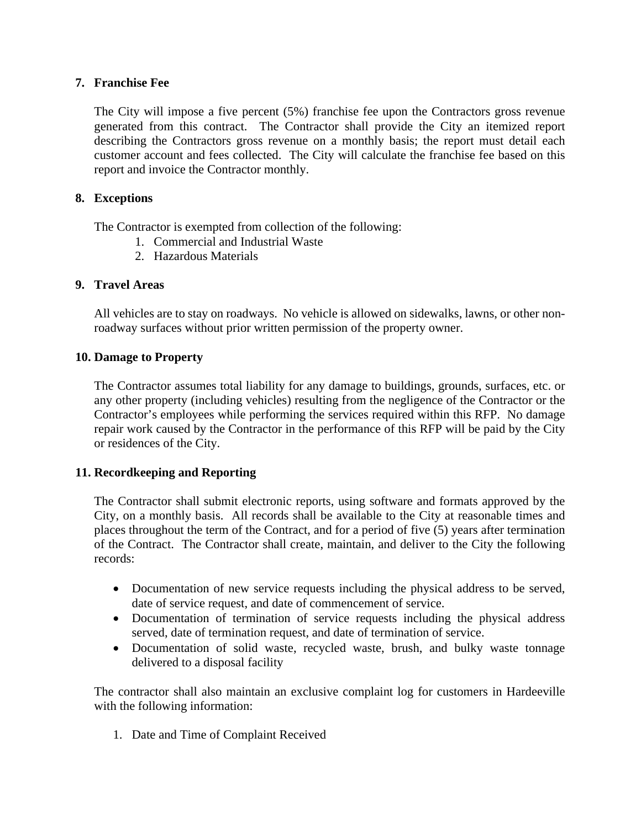## **7. Franchise Fee**

The City will impose a five percent (5%) franchise fee upon the Contractors gross revenue generated from this contract. The Contractor shall provide the City an itemized report describing the Contractors gross revenue on a monthly basis; the report must detail each customer account and fees collected. The City will calculate the franchise fee based on this report and invoice the Contractor monthly.

## **8. Exceptions**

The Contractor is exempted from collection of the following:

- 1. Commercial and Industrial Waste
- 2. Hazardous Materials

## **9. Travel Areas**

All vehicles are to stay on roadways. No vehicle is allowed on sidewalks, lawns, or other nonroadway surfaces without prior written permission of the property owner.

## **10. Damage to Property**

The Contractor assumes total liability for any damage to buildings, grounds, surfaces, etc. or any other property (including vehicles) resulting from the negligence of the Contractor or the Contractor's employees while performing the services required within this RFP. No damage repair work caused by the Contractor in the performance of this RFP will be paid by the City or residences of the City.

## **11. Recordkeeping and Reporting**

The Contractor shall submit electronic reports, using software and formats approved by the City, on a monthly basis. All records shall be available to the City at reasonable times and places throughout the term of the Contract, and for a period of five (5) years after termination of the Contract. The Contractor shall create, maintain, and deliver to the City the following records:

- Documentation of new service requests including the physical address to be served, date of service request, and date of commencement of service.
- Documentation of termination of service requests including the physical address served, date of termination request, and date of termination of service.
- Documentation of solid waste, recycled waste, brush, and bulky waste tonnage delivered to a disposal facility

The contractor shall also maintain an exclusive complaint log for customers in Hardeeville with the following information:

1. Date and Time of Complaint Received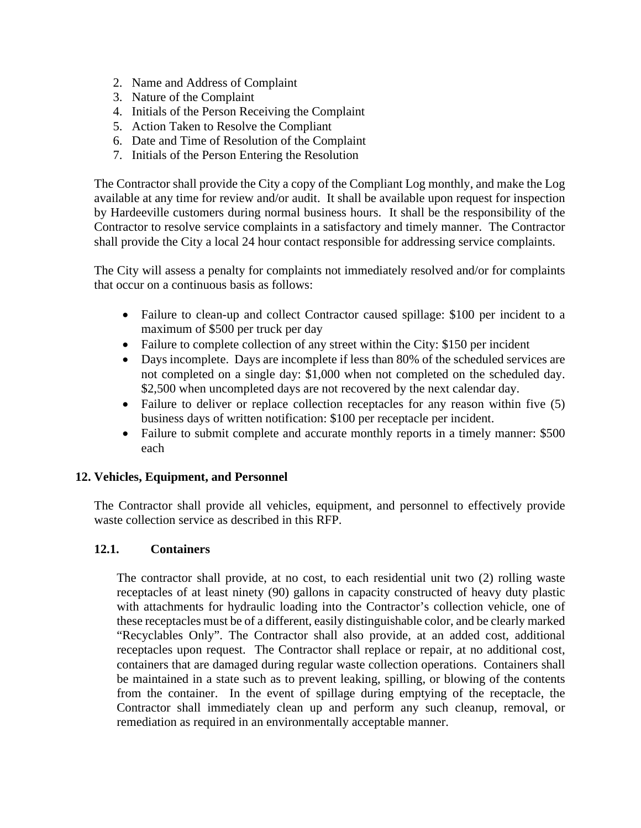- 2. Name and Address of Complaint
- 3. Nature of the Complaint
- 4. Initials of the Person Receiving the Complaint
- 5. Action Taken to Resolve the Compliant
- 6. Date and Time of Resolution of the Complaint
- 7. Initials of the Person Entering the Resolution

The Contractor shall provide the City a copy of the Compliant Log monthly, and make the Log available at any time for review and/or audit. It shall be available upon request for inspection by Hardeeville customers during normal business hours. It shall be the responsibility of the Contractor to resolve service complaints in a satisfactory and timely manner. The Contractor shall provide the City a local 24 hour contact responsible for addressing service complaints.

The City will assess a penalty for complaints not immediately resolved and/or for complaints that occur on a continuous basis as follows:

- Failure to clean-up and collect Contractor caused spillage: \$100 per incident to a maximum of \$500 per truck per day
- Failure to complete collection of any street within the City: \$150 per incident
- Days incomplete. Days are incomplete if less than 80% of the scheduled services are not completed on a single day: \$1,000 when not completed on the scheduled day. \$2,500 when uncompleted days are not recovered by the next calendar day.
- Failure to deliver or replace collection receptacles for any reason within five (5) business days of written notification: \$100 per receptacle per incident.
- Failure to submit complete and accurate monthly reports in a timely manner: \$500 each

## **12. Vehicles, Equipment, and Personnel**

The Contractor shall provide all vehicles, equipment, and personnel to effectively provide waste collection service as described in this RFP.

## **12.1. Containers**

The contractor shall provide, at no cost, to each residential unit two (2) rolling waste receptacles of at least ninety (90) gallons in capacity constructed of heavy duty plastic with attachments for hydraulic loading into the Contractor's collection vehicle, one of these receptacles must be of a different, easily distinguishable color, and be clearly marked "Recyclables Only". The Contractor shall also provide, at an added cost, additional receptacles upon request. The Contractor shall replace or repair, at no additional cost, containers that are damaged during regular waste collection operations. Containers shall be maintained in a state such as to prevent leaking, spilling, or blowing of the contents from the container. In the event of spillage during emptying of the receptacle, the Contractor shall immediately clean up and perform any such cleanup, removal, or remediation as required in an environmentally acceptable manner.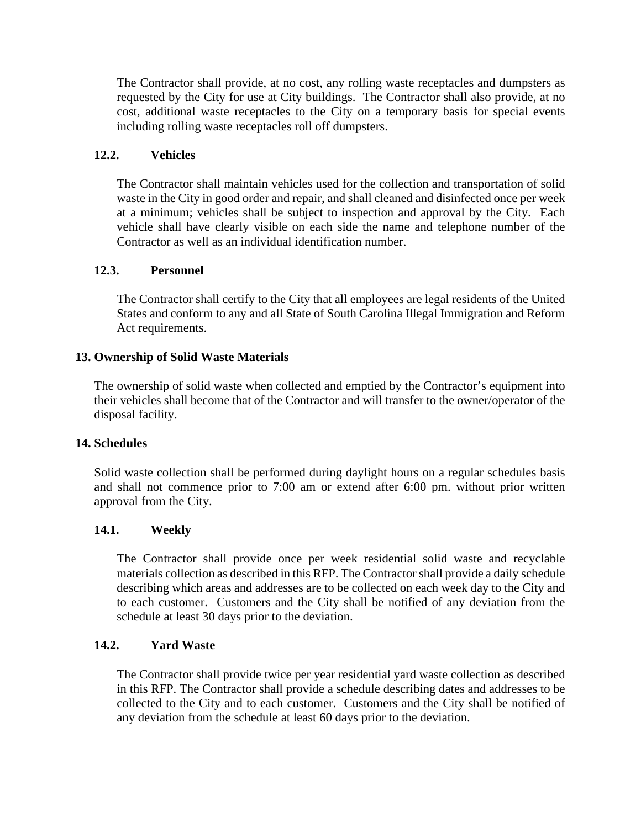The Contractor shall provide, at no cost, any rolling waste receptacles and dumpsters as requested by the City for use at City buildings. The Contractor shall also provide, at no cost, additional waste receptacles to the City on a temporary basis for special events including rolling waste receptacles roll off dumpsters.

## **12.2. Vehicles**

The Contractor shall maintain vehicles used for the collection and transportation of solid waste in the City in good order and repair, and shall cleaned and disinfected once per week at a minimum; vehicles shall be subject to inspection and approval by the City. Each vehicle shall have clearly visible on each side the name and telephone number of the Contractor as well as an individual identification number.

## **12.3. Personnel**

The Contractor shall certify to the City that all employees are legal residents of the United States and conform to any and all State of South Carolina Illegal Immigration and Reform Act requirements.

## **13. Ownership of Solid Waste Materials**

The ownership of solid waste when collected and emptied by the Contractor's equipment into their vehicles shall become that of the Contractor and will transfer to the owner/operator of the disposal facility.

## **14. Schedules**

Solid waste collection shall be performed during daylight hours on a regular schedules basis and shall not commence prior to 7:00 am or extend after 6:00 pm. without prior written approval from the City.

## **14.1. Weekly**

The Contractor shall provide once per week residential solid waste and recyclable materials collection as described in this RFP. The Contractor shall provide a daily schedule describing which areas and addresses are to be collected on each week day to the City and to each customer. Customers and the City shall be notified of any deviation from the schedule at least 30 days prior to the deviation.

## **14.2. Yard Waste**

The Contractor shall provide twice per year residential yard waste collection as described in this RFP. The Contractor shall provide a schedule describing dates and addresses to be collected to the City and to each customer. Customers and the City shall be notified of any deviation from the schedule at least 60 days prior to the deviation.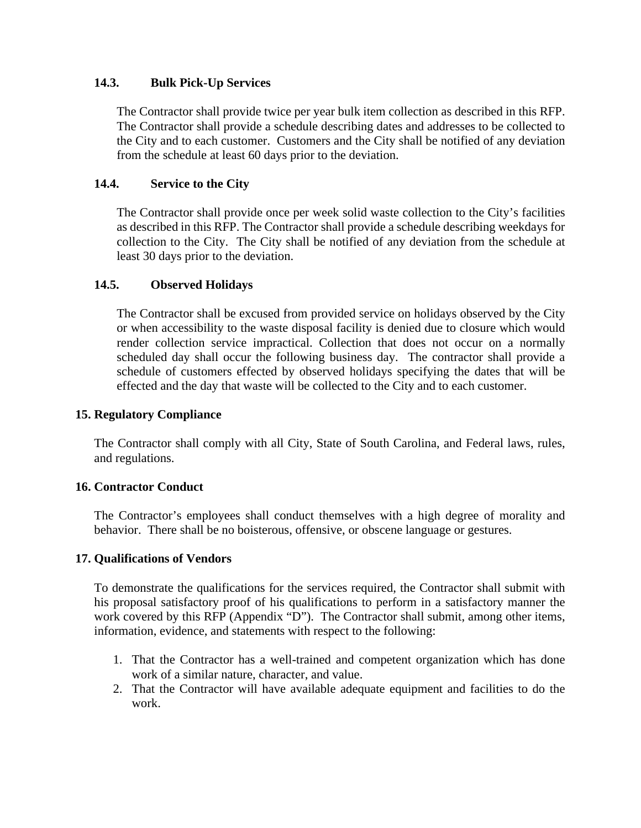## **14.3. Bulk Pick-Up Services**

The Contractor shall provide twice per year bulk item collection as described in this RFP. The Contractor shall provide a schedule describing dates and addresses to be collected to the City and to each customer. Customers and the City shall be notified of any deviation from the schedule at least 60 days prior to the deviation.

## **14.4. Service to the City**

The Contractor shall provide once per week solid waste collection to the City's facilities as described in this RFP. The Contractor shall provide a schedule describing weekdays for collection to the City. The City shall be notified of any deviation from the schedule at least 30 days prior to the deviation.

## **14.5. Observed Holidays**

The Contractor shall be excused from provided service on holidays observed by the City or when accessibility to the waste disposal facility is denied due to closure which would render collection service impractical. Collection that does not occur on a normally scheduled day shall occur the following business day. The contractor shall provide a schedule of customers effected by observed holidays specifying the dates that will be effected and the day that waste will be collected to the City and to each customer.

## **15. Regulatory Compliance**

The Contractor shall comply with all City, State of South Carolina, and Federal laws, rules, and regulations.

## **16. Contractor Conduct**

The Contractor's employees shall conduct themselves with a high degree of morality and behavior. There shall be no boisterous, offensive, or obscene language or gestures.

## **17. Qualifications of Vendors**

To demonstrate the qualifications for the services required, the Contractor shall submit with his proposal satisfactory proof of his qualifications to perform in a satisfactory manner the work covered by this RFP (Appendix "D"). The Contractor shall submit, among other items, information, evidence, and statements with respect to the following:

- 1. That the Contractor has a well-trained and competent organization which has done work of a similar nature, character, and value.
- 2. That the Contractor will have available adequate equipment and facilities to do the work.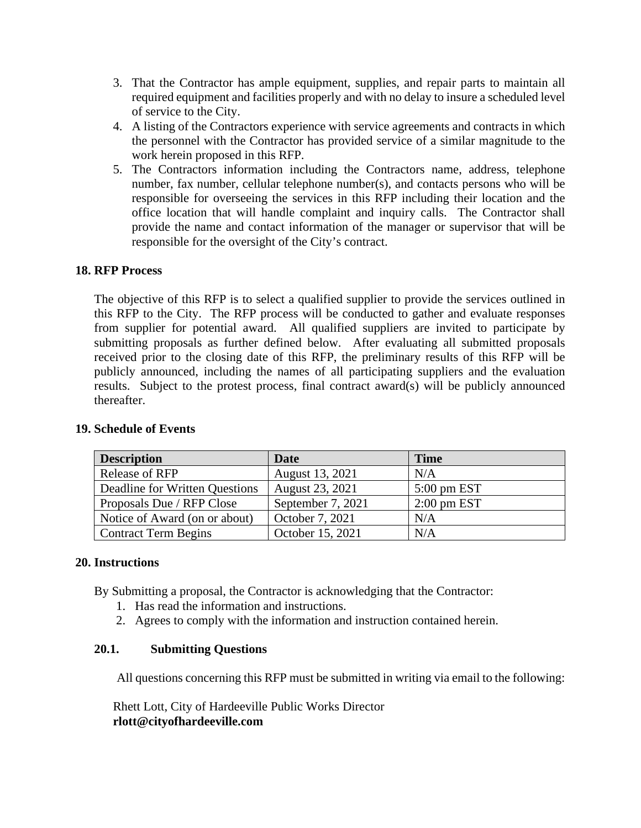- 3. That the Contractor has ample equipment, supplies, and repair parts to maintain all required equipment and facilities properly and with no delay to insure a scheduled level of service to the City.
- 4. A listing of the Contractors experience with service agreements and contracts in which the personnel with the Contractor has provided service of a similar magnitude to the work herein proposed in this RFP.
- 5. The Contractors information including the Contractors name, address, telephone number, fax number, cellular telephone number(s), and contacts persons who will be responsible for overseeing the services in this RFP including their location and the office location that will handle complaint and inquiry calls. The Contractor shall provide the name and contact information of the manager or supervisor that will be responsible for the oversight of the City's contract.

## **18. RFP Process**

The objective of this RFP is to select a qualified supplier to provide the services outlined in this RFP to the City. The RFP process will be conducted to gather and evaluate responses from supplier for potential award. All qualified suppliers are invited to participate by submitting proposals as further defined below. After evaluating all submitted proposals received prior to the closing date of this RFP, the preliminary results of this RFP will be publicly announced, including the names of all participating suppliers and the evaluation results. Subject to the protest process, final contract award(s) will be publicly announced thereafter.

| <b>Description</b>             | <b>Date</b>       | <b>Time</b>            |
|--------------------------------|-------------------|------------------------|
| Release of RFP                 | August 13, 2021   | N/A                    |
| Deadline for Written Questions | August 23, 2021   | $5:00 \text{ pm } EST$ |
| Proposals Due / RFP Close      | September 7, 2021 | $2:00$ pm EST          |
| Notice of Award (on or about)  | October 7, 2021   | N/A                    |
| <b>Contract Term Begins</b>    | October 15, 2021  | N/A                    |

## **19. Schedule of Events**

## **20. Instructions**

By Submitting a proposal, the Contractor is acknowledging that the Contractor:

- 1. Has read the information and instructions.
- 2. Agrees to comply with the information and instruction contained herein.

## **20.1. Submitting Questions**

All questions concerning this RFP must be submitted in writing via email to the following:

Rhett Lott, City of Hardeeville Public Works Director **rlott@cityofhardeeville.com**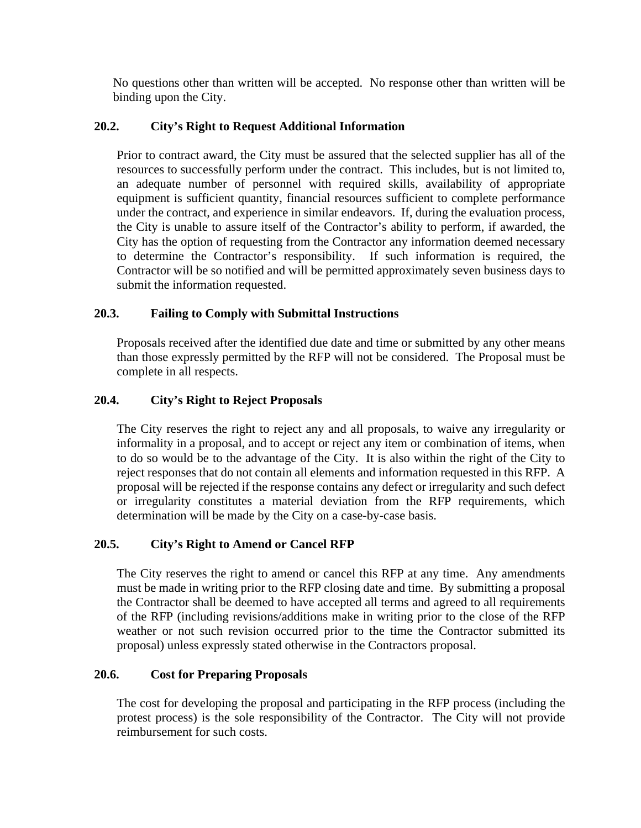No questions other than written will be accepted. No response other than written will be binding upon the City.

## **20.2. City's Right to Request Additional Information**

Prior to contract award, the City must be assured that the selected supplier has all of the resources to successfully perform under the contract. This includes, but is not limited to, an adequate number of personnel with required skills, availability of appropriate equipment is sufficient quantity, financial resources sufficient to complete performance under the contract, and experience in similar endeavors. If, during the evaluation process, the City is unable to assure itself of the Contractor's ability to perform, if awarded, the City has the option of requesting from the Contractor any information deemed necessary to determine the Contractor's responsibility. If such information is required, the Contractor will be so notified and will be permitted approximately seven business days to submit the information requested.

## **20.3. Failing to Comply with Submittal Instructions**

Proposals received after the identified due date and time or submitted by any other means than those expressly permitted by the RFP will not be considered. The Proposal must be complete in all respects.

## **20.4. City's Right to Reject Proposals**

The City reserves the right to reject any and all proposals, to waive any irregularity or informality in a proposal, and to accept or reject any item or combination of items, when to do so would be to the advantage of the City. It is also within the right of the City to reject responses that do not contain all elements and information requested in this RFP. A proposal will be rejected if the response contains any defect or irregularity and such defect or irregularity constitutes a material deviation from the RFP requirements, which determination will be made by the City on a case-by-case basis.

## **20.5. City's Right to Amend or Cancel RFP**

The City reserves the right to amend or cancel this RFP at any time. Any amendments must be made in writing prior to the RFP closing date and time. By submitting a proposal the Contractor shall be deemed to have accepted all terms and agreed to all requirements of the RFP (including revisions/additions make in writing prior to the close of the RFP weather or not such revision occurred prior to the time the Contractor submitted its proposal) unless expressly stated otherwise in the Contractors proposal.

## **20.6. Cost for Preparing Proposals**

The cost for developing the proposal and participating in the RFP process (including the protest process) is the sole responsibility of the Contractor. The City will not provide reimbursement for such costs.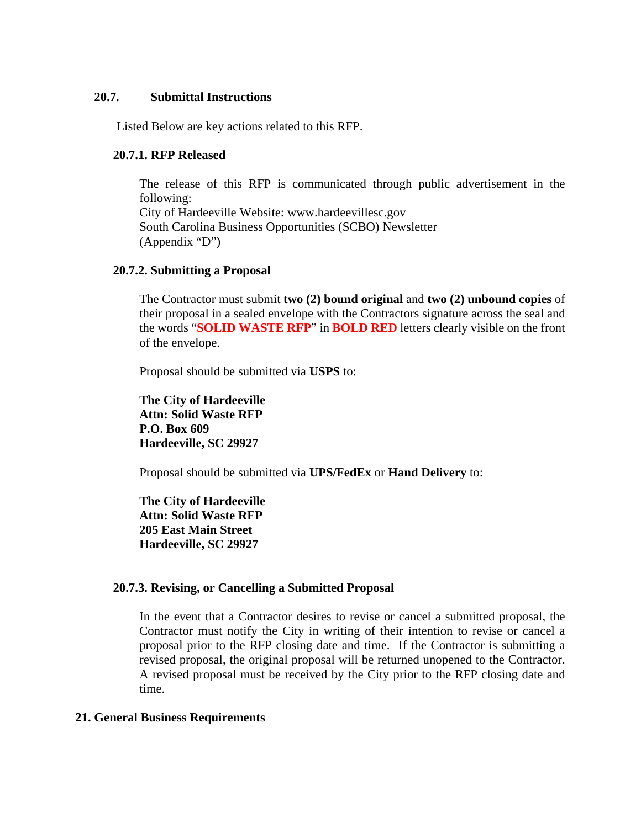#### **20.7. Submittal Instructions**

Listed Below are key actions related to this RFP.

#### **20.7.1. RFP Released**

The release of this RFP is communicated through public advertisement in the following: City of Hardeeville Website: www.hardeevillesc.gov South Carolina Business Opportunities (SCBO) Newsletter (Appendix "D")

#### **20.7.2. Submitting a Proposal**

The Contractor must submit **two (2) bound original** and **two (2) unbound copies** of their proposal in a sealed envelope with the Contractors signature across the seal and the words "**SOLID WASTE RFP**" in **BOLD RED** letters clearly visible on the front of the envelope.

Proposal should be submitted via **USPS** to:

**The City of Hardeeville Attn: Solid Waste RFP P.O. Box 609 Hardeeville, SC 29927**

Proposal should be submitted via **UPS/FedEx** or **Hand Delivery** to:

**The City of Hardeeville Attn: Solid Waste RFP 205 East Main Street Hardeeville, SC 29927**

## **20.7.3. Revising, or Cancelling a Submitted Proposal**

In the event that a Contractor desires to revise or cancel a submitted proposal, the Contractor must notify the City in writing of their intention to revise or cancel a proposal prior to the RFP closing date and time. If the Contractor is submitting a revised proposal, the original proposal will be returned unopened to the Contractor. A revised proposal must be received by the City prior to the RFP closing date and time.

## **21. General Business Requirements**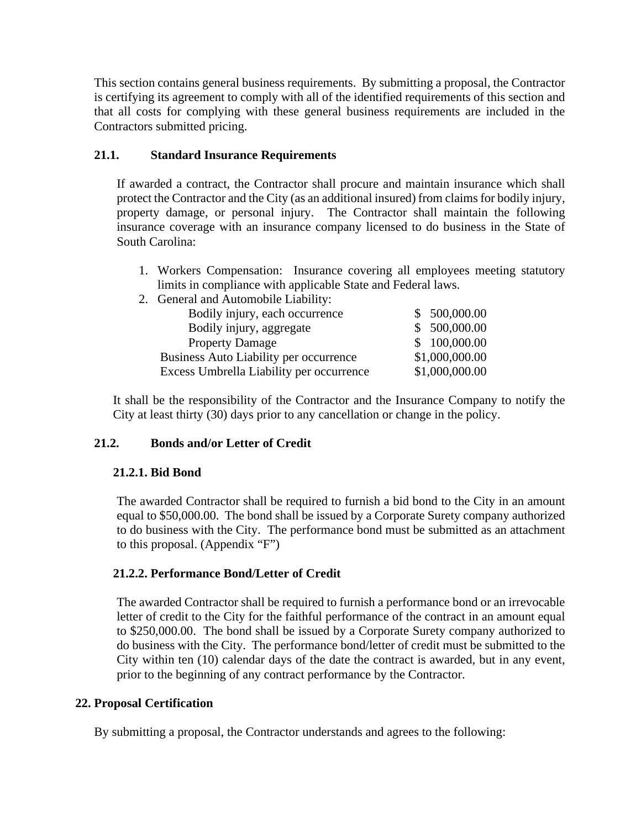This section contains general business requirements. By submitting a proposal, the Contractor is certifying its agreement to comply with all of the identified requirements of this section and that all costs for complying with these general business requirements are included in the Contractors submitted pricing.

## **21.1. Standard Insurance Requirements**

If awarded a contract, the Contractor shall procure and maintain insurance which shall protect the Contractor and the City (as an additional insured) from claims for bodily injury, property damage, or personal injury. The Contractor shall maintain the following insurance coverage with an insurance company licensed to do business in the State of South Carolina:

- 1. Workers Compensation: Insurance covering all employees meeting statutory limits in compliance with applicable State and Federal laws.
- 2. General and Automobile Liability:

| Bodily injury, each occurrence           | \$500,000.00   |
|------------------------------------------|----------------|
| Bodily injury, aggregate                 | \$ 500,000.00  |
| <b>Property Damage</b>                   | \$100,000.00   |
| Business Auto Liability per occurrence   | \$1,000,000.00 |
| Excess Umbrella Liability per occurrence | \$1,000,000.00 |

It shall be the responsibility of the Contractor and the Insurance Company to notify the City at least thirty (30) days prior to any cancellation or change in the policy.

## **21.2. Bonds and/or Letter of Credit**

## **21.2.1. Bid Bond**

The awarded Contractor shall be required to furnish a bid bond to the City in an amount equal to \$50,000.00. The bond shall be issued by a Corporate Surety company authorized to do business with the City. The performance bond must be submitted as an attachment to this proposal. (Appendix "F")

## **21.2.2. Performance Bond/Letter of Credit**

The awarded Contractor shall be required to furnish a performance bond or an irrevocable letter of credit to the City for the faithful performance of the contract in an amount equal to \$250,000.00. The bond shall be issued by a Corporate Surety company authorized to do business with the City. The performance bond/letter of credit must be submitted to the City within ten (10) calendar days of the date the contract is awarded, but in any event, prior to the beginning of any contract performance by the Contractor.

## **22. Proposal Certification**

By submitting a proposal, the Contractor understands and agrees to the following: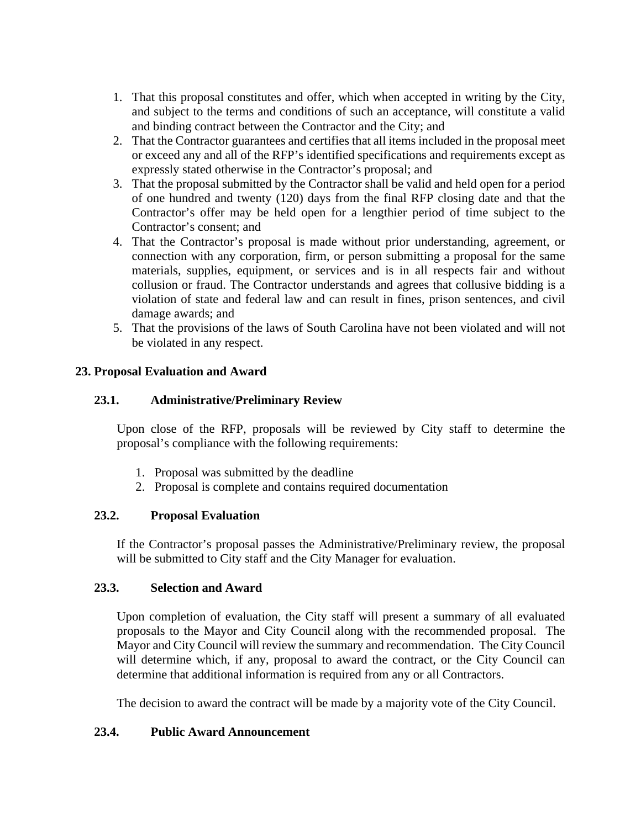- 1. That this proposal constitutes and offer, which when accepted in writing by the City, and subject to the terms and conditions of such an acceptance, will constitute a valid and binding contract between the Contractor and the City; and
- 2. That the Contractor guarantees and certifies that all items included in the proposal meet or exceed any and all of the RFP's identified specifications and requirements except as expressly stated otherwise in the Contractor's proposal; and
- 3. That the proposal submitted by the Contractor shall be valid and held open for a period of one hundred and twenty (120) days from the final RFP closing date and that the Contractor's offer may be held open for a lengthier period of time subject to the Contractor's consent; and
- 4. That the Contractor's proposal is made without prior understanding, agreement, or connection with any corporation, firm, or person submitting a proposal for the same materials, supplies, equipment, or services and is in all respects fair and without collusion or fraud. The Contractor understands and agrees that collusive bidding is a violation of state and federal law and can result in fines, prison sentences, and civil damage awards; and
- 5. That the provisions of the laws of South Carolina have not been violated and will not be violated in any respect.

## **23. Proposal Evaluation and Award**

## **23.1. Administrative/Preliminary Review**

Upon close of the RFP, proposals will be reviewed by City staff to determine the proposal's compliance with the following requirements:

- 1. Proposal was submitted by the deadline
- 2. Proposal is complete and contains required documentation

## **23.2. Proposal Evaluation**

If the Contractor's proposal passes the Administrative/Preliminary review, the proposal will be submitted to City staff and the City Manager for evaluation.

## **23.3. Selection and Award**

Upon completion of evaluation, the City staff will present a summary of all evaluated proposals to the Mayor and City Council along with the recommended proposal. The Mayor and City Council will review the summary and recommendation. The City Council will determine which, if any, proposal to award the contract, or the City Council can determine that additional information is required from any or all Contractors.

The decision to award the contract will be made by a majority vote of the City Council.

## **23.4. Public Award Announcement**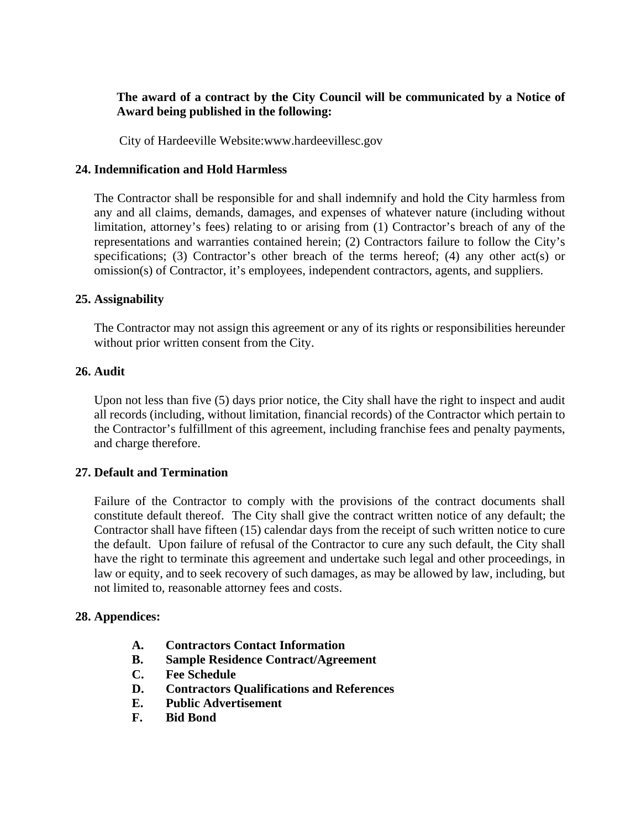## **The award of a contract by the City Council will be communicated by a Notice of Award being published in the following:**

City of Hardeeville Website:www.hardeevillesc.gov

## **24. Indemnification and Hold Harmless**

The Contractor shall be responsible for and shall indemnify and hold the City harmless from any and all claims, demands, damages, and expenses of whatever nature (including without limitation, attorney's fees) relating to or arising from (1) Contractor's breach of any of the representations and warranties contained herein; (2) Contractors failure to follow the City's specifications; (3) Contractor's other breach of the terms hereof; (4) any other act(s) or omission(s) of Contractor, it's employees, independent contractors, agents, and suppliers.

## **25. Assignability**

The Contractor may not assign this agreement or any of its rights or responsibilities hereunder without prior written consent from the City.

## **26. Audit**

Upon not less than five (5) days prior notice, the City shall have the right to inspect and audit all records (including, without limitation, financial records) of the Contractor which pertain to the Contractor's fulfillment of this agreement, including franchise fees and penalty payments, and charge therefore.

## **27. Default and Termination**

Failure of the Contractor to comply with the provisions of the contract documents shall constitute default thereof. The City shall give the contract written notice of any default; the Contractor shall have fifteen (15) calendar days from the receipt of such written notice to cure the default. Upon failure of refusal of the Contractor to cure any such default, the City shall have the right to terminate this agreement and undertake such legal and other proceedings, in law or equity, and to seek recovery of such damages, as may be allowed by law, including, but not limited to, reasonable attorney fees and costs.

## **28. Appendices:**

- **A. Contractors Contact Information**
- **B. Sample Residence Contract/Agreement**
- **C. Fee Schedule**
- **D. Contractors Qualifications and References**
- **E. Public Advertisement**
- **F. Bid Bond**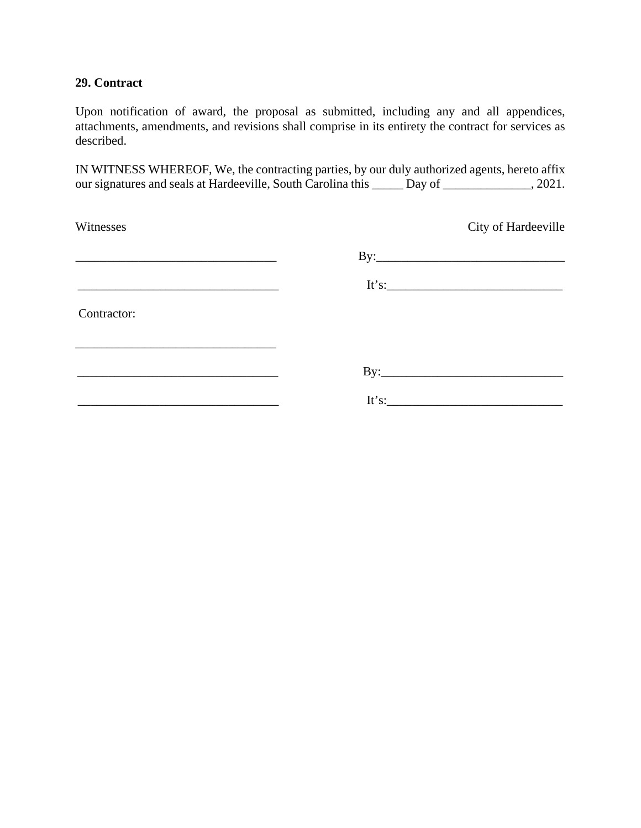## **29. Contract**

Upon notification of award, the proposal as submitted, including any and all appendices, attachments, amendments, and revisions shall comprise in its entirety the contract for services as described.

IN WITNESS WHEREOF, We, the contracting parties, by our duly authorized agents, hereto affix our signatures and seals at Hardeeville, South Carolina this \_\_\_\_\_ Day of \_\_\_\_\_\_\_\_\_\_\_\_\_\_, 2021.

| Witnesses   | City of Hardeeville   |
|-------------|-----------------------|
|             |                       |
|             | It's: $\qquad \qquad$ |
| Contractor: |                       |
|             |                       |
|             |                       |
|             |                       |
|             |                       |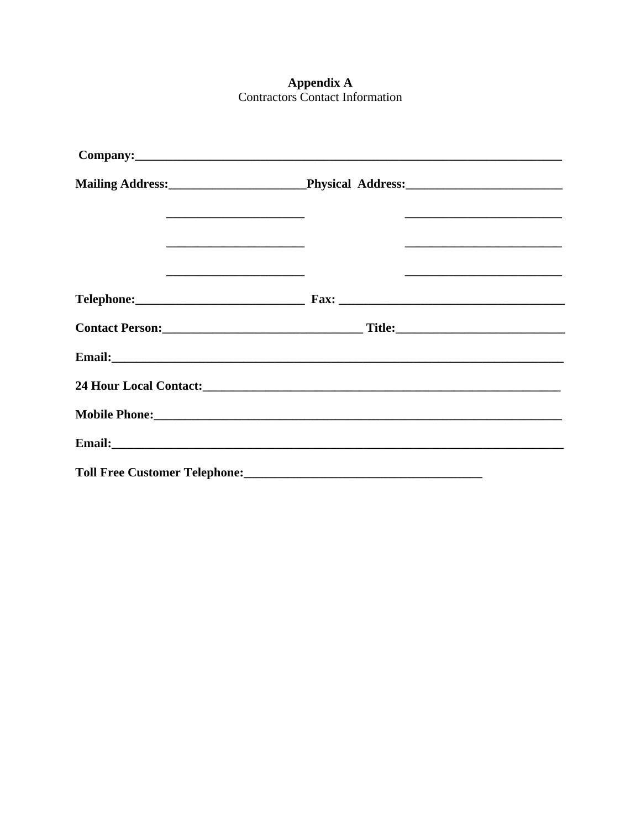# **Appendix A**<br>Contractors Contact Information

| Company: <u>company</u>                             |
|-----------------------------------------------------|
| Mailing Address: Physical Address: Mailing Address: |
|                                                     |
|                                                     |
|                                                     |
|                                                     |
|                                                     |
|                                                     |
|                                                     |
|                                                     |
|                                                     |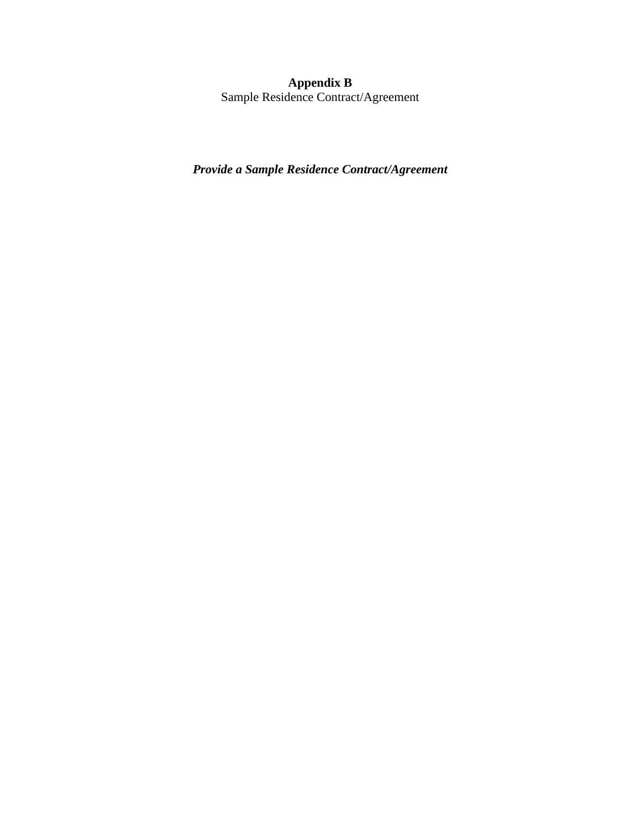#### **Appendix B**

Sample Residence Contract/Agreement

*Provide a Sample Residence Contract/Agreement*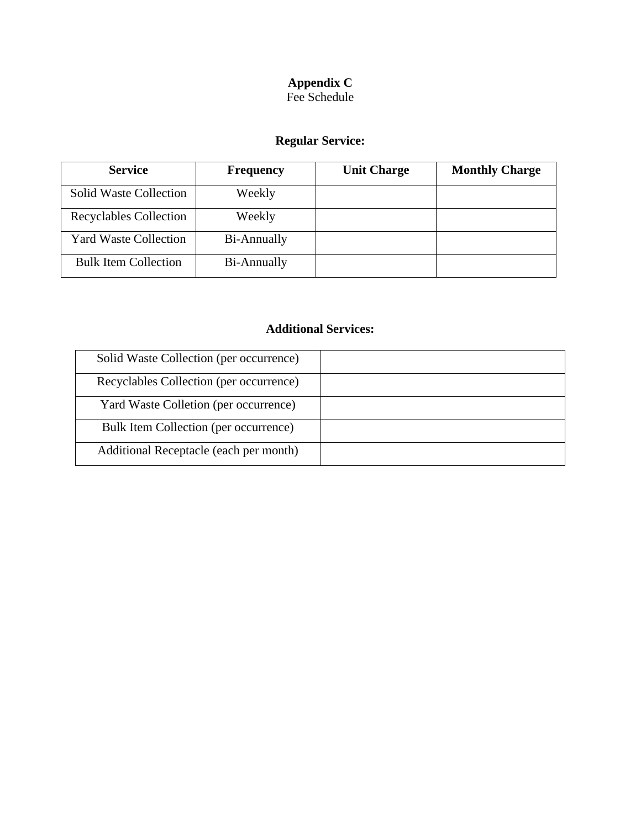## **Appendix C** Fee Schedule

# **Regular Service:**

| <b>Service</b>                | <b>Frequency</b> | <b>Unit Charge</b> | <b>Monthly Charge</b> |
|-------------------------------|------------------|--------------------|-----------------------|
| <b>Solid Waste Collection</b> | Weekly           |                    |                       |
| Recyclables Collection        | Weekly           |                    |                       |
| <b>Yard Waste Collection</b>  | Bi-Annually      |                    |                       |
| <b>Bulk Item Collection</b>   | Bi-Annually      |                    |                       |

## **Additional Services:**

| Solid Waste Collection (per occurrence) |  |
|-----------------------------------------|--|
| Recyclables Collection (per occurrence) |  |
| Yard Waste Colletion (per occurrence)   |  |
| Bulk Item Collection (per occurrence)   |  |
| Additional Receptacle (each per month)  |  |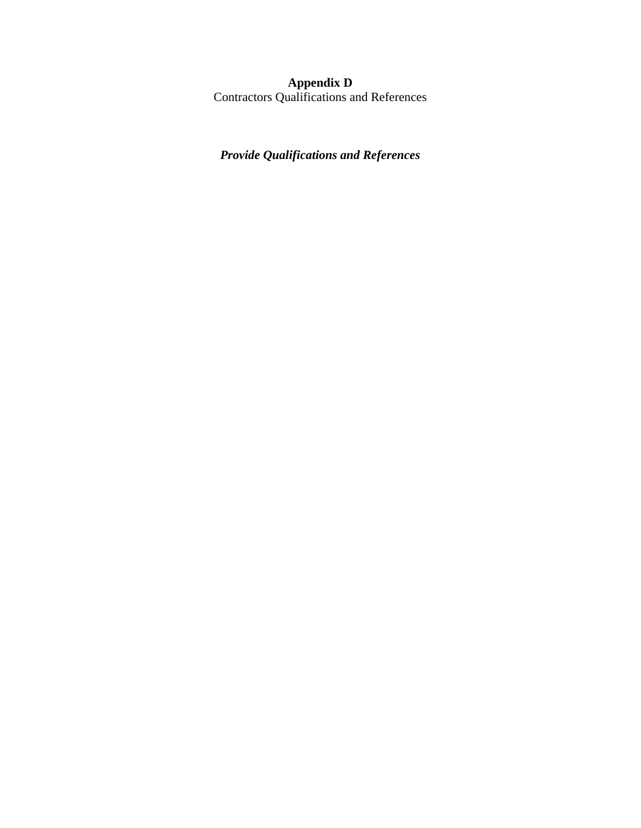## **Appendix D**

Contractors Qualifications and References

## *Provide Qualifications and References*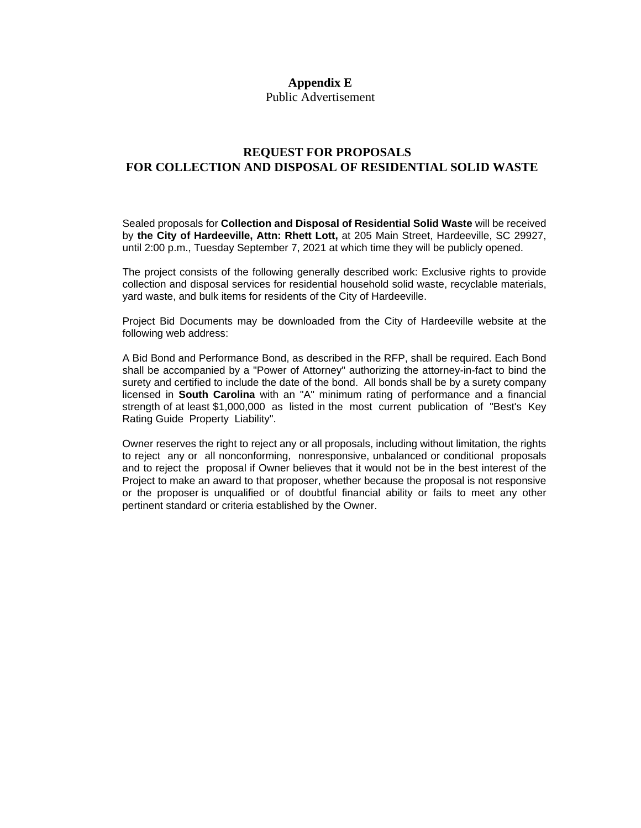#### **Appendix E**

Public Advertisement

#### **REQUEST FOR PROPOSALS FOR COLLECTION AND DISPOSAL OF RESIDENTIAL SOLID WASTE**

Sealed proposals for **Collection and Disposal of Residential Solid Waste** will be received by **the City of Hardeeville, Attn: Rhett Lott,** at 205 Main Street, Hardeeville, SC 29927, until 2:00 p.m., Tuesday September 7, 2021 at which time they will be publicly opened.

The project consists of the following generally described work: Exclusive rights to provide collection and disposal services for residential household solid waste, recyclable materials, yard waste, and bulk items for residents of the City of Hardeeville.

Project Bid Documents may be downloaded from the City of Hardeeville website at the following web address:

A Bid Bond and Performance Bond, as described in the RFP, shall be required. Each Bond shall be accompanied by a "Power of Attorney" authorizing the attorney-in-fact to bind the surety and certified to include the date of the bond. All bonds shall be by a surety company licensed in **South Carolina** with an "A" minimum rating of performance and a financial strength of at least \$1,000,000 as listed in the most current publication of "Best's Key Rating Guide Property Liability".

Owner reserves the right to reject any or all proposals, including without limitation, the rights to reject any or all nonconforming, nonresponsive, unbalanced or conditional proposals and to reject the proposal if Owner believes that it would not be in the best interest of the Project to make an award to that proposer, whether because the proposal is not responsive or the proposer is unqualified or of doubtful financial ability or fails to meet any other pertinent standard or criteria established by the Owner.